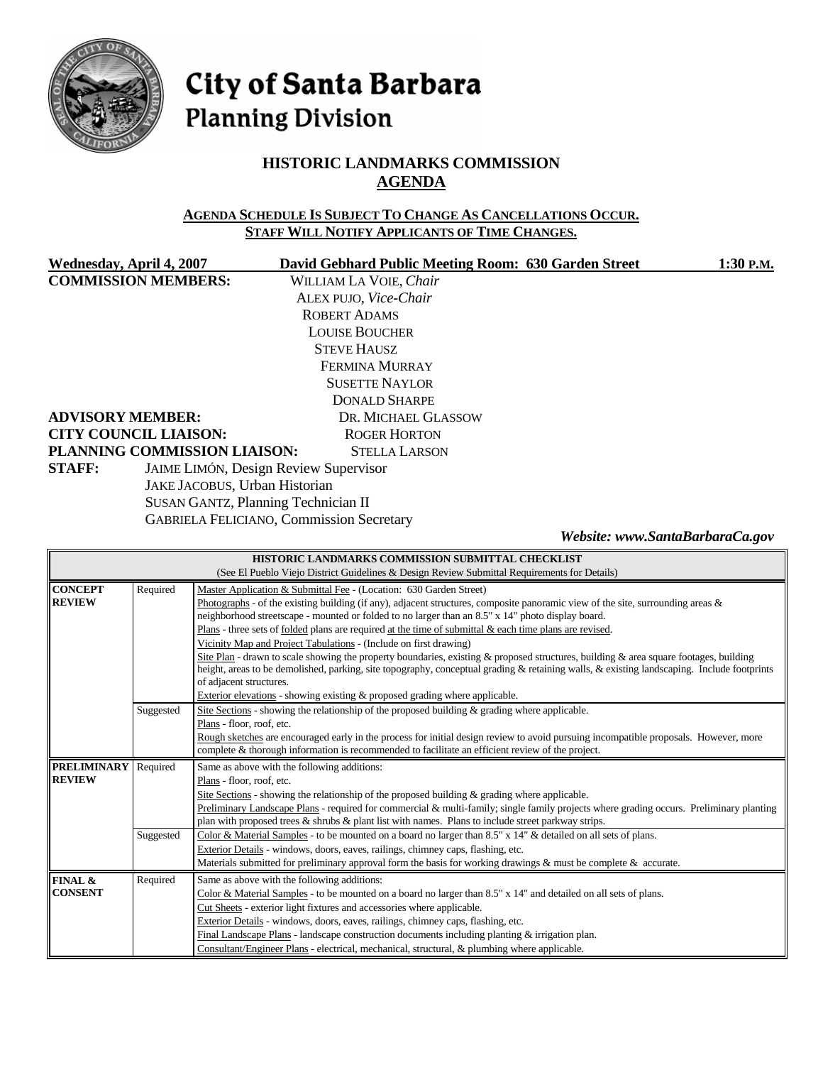

# City of Santa Barbara **Planning Division**

## **HISTORIC LANDMARKS COMMISSION AGENDA**

#### **AGENDA SCHEDULE IS SUBJECT TO CHANGE AS CANCELLATIONS OCCUR. STAFF WILL NOTIFY APPLICANTS OF TIME CHANGES.**

| Wednesday, April 4, 2007            | David Gebhard Public Meeting Room: 630 Garden Street | 1:30 P.M.                       |  |
|-------------------------------------|------------------------------------------------------|---------------------------------|--|
| <b>COMMISSION MEMBERS:</b>          | WILLIAM LA VOIE, Chair                               |                                 |  |
| ALEX PUJO, Vice-Chair               |                                                      |                                 |  |
|                                     | <b>ROBERT ADAMS</b>                                  |                                 |  |
|                                     | <b>LOUISE BOUCHER</b>                                |                                 |  |
|                                     | <b>STEVE HAUSZ</b>                                   |                                 |  |
|                                     | FERMINA MURRAY                                       |                                 |  |
|                                     | <b>SUSETTE NAYLOR</b>                                |                                 |  |
|                                     | DONALD SHARPE                                        |                                 |  |
| <b>ADVISORY MEMBER:</b>             | DR. MICHAEL GLASSOW                                  |                                 |  |
| <b>CITY COUNCIL LIAISON:</b>        | <b>ROGER HORTON</b>                                  |                                 |  |
| PLANNING COMMISSION LIAISON:        | <b>STELLA LARSON</b>                                 |                                 |  |
| <b>STAFF:</b>                       | <b>JAIME LIMÓN, Design Review Supervisor</b>         |                                 |  |
| JAKE JACOBUS, Urban Historian       |                                                      |                                 |  |
| SUSAN GANTZ, Planning Technician II |                                                      |                                 |  |
|                                     | <b>GABRIELA FELICIANO, Commission Secretary</b>      |                                 |  |
|                                     |                                                      | Website: www.SantaBarbaraCa.gov |  |

| HISTORIC LANDMARKS COMMISSION SUBMITTAL CHECKLIST |                                                                                                  |                                                                                                                                                                                                                                                                                                                |  |  |  |
|---------------------------------------------------|--------------------------------------------------------------------------------------------------|----------------------------------------------------------------------------------------------------------------------------------------------------------------------------------------------------------------------------------------------------------------------------------------------------------------|--|--|--|
|                                                   |                                                                                                  | (See El Pueblo Viejo District Guidelines & Design Review Submittal Requirements for Details)                                                                                                                                                                                                                   |  |  |  |
| <b>CONCEPT</b>                                    | Required                                                                                         | Master Application & Submittal Fee - (Location: 630 Garden Street)                                                                                                                                                                                                                                             |  |  |  |
| <b>REVIEW</b>                                     |                                                                                                  | Photographs - of the existing building (if any), adjacent structures, composite panoramic view of the site, surrounding areas $\&$<br>neighborhood streetscape - mounted or folded to no larger than an 8.5" x 14" photo display board.                                                                        |  |  |  |
|                                                   |                                                                                                  | Plans - three sets of <u>folded</u> plans are required at the time of submittal $\&$ each time plans are revised.                                                                                                                                                                                              |  |  |  |
|                                                   |                                                                                                  | Vicinity Map and Project Tabulations - (Include on first drawing)                                                                                                                                                                                                                                              |  |  |  |
|                                                   |                                                                                                  | Site Plan - drawn to scale showing the property boundaries, existing & proposed structures, building & area square footages, building<br>height, areas to be demolished, parking, site topography, conceptual grading & retaining walls, & existing landscaping. Include footprints<br>of adjacent structures. |  |  |  |
|                                                   |                                                                                                  | Exterior elevations - showing existing $\&$ proposed grading where applicable.                                                                                                                                                                                                                                 |  |  |  |
|                                                   | Suggested                                                                                        | Site Sections - showing the relationship of the proposed building & grading where applicable.                                                                                                                                                                                                                  |  |  |  |
|                                                   |                                                                                                  | Plans - floor, roof, etc.                                                                                                                                                                                                                                                                                      |  |  |  |
|                                                   |                                                                                                  | Rough sketches are encouraged early in the process for initial design review to avoid pursuing incompatible proposals. However, more                                                                                                                                                                           |  |  |  |
|                                                   | complete & thorough information is recommended to facilitate an efficient review of the project. |                                                                                                                                                                                                                                                                                                                |  |  |  |
| <b>PRELIMINARY</b>                                | Required                                                                                         | Same as above with the following additions:                                                                                                                                                                                                                                                                    |  |  |  |
| <b>REVIEW</b>                                     |                                                                                                  | Plans - floor, roof, etc.                                                                                                                                                                                                                                                                                      |  |  |  |
|                                                   |                                                                                                  | Site Sections - showing the relationship of the proposed building $\&$ grading where applicable.                                                                                                                                                                                                               |  |  |  |
|                                                   |                                                                                                  | Preliminary Landscape Plans - required for commercial & multi-family; single family projects where grading occurs. Preliminary planting                                                                                                                                                                        |  |  |  |
|                                                   |                                                                                                  | plan with proposed trees $\&$ shrubs $\&$ plant list with names. Plans to include street parkway strips.                                                                                                                                                                                                       |  |  |  |
|                                                   | Suggested                                                                                        | Color & Material Samples - to be mounted on a board no larger than 8.5" x 14" & detailed on all sets of plans.                                                                                                                                                                                                 |  |  |  |
|                                                   |                                                                                                  | Exterior Details - windows, doors, eaves, railings, chimney caps, flashing, etc.                                                                                                                                                                                                                               |  |  |  |
|                                                   |                                                                                                  | Materials submitted for preliminary approval form the basis for working drawings & must be complete & accurate.                                                                                                                                                                                                |  |  |  |
| FINAL &                                           | Required                                                                                         | Same as above with the following additions:                                                                                                                                                                                                                                                                    |  |  |  |
| <b>CONSENT</b>                                    |                                                                                                  | Color & Material Samples - to be mounted on a board no larger than 8.5" x 14" and detailed on all sets of plans.                                                                                                                                                                                               |  |  |  |
|                                                   |                                                                                                  | Cut Sheets - exterior light fixtures and accessories where applicable.                                                                                                                                                                                                                                         |  |  |  |
|                                                   |                                                                                                  | Exterior Details - windows, doors, eaves, railings, chimney caps, flashing, etc.                                                                                                                                                                                                                               |  |  |  |
|                                                   |                                                                                                  |                                                                                                                                                                                                                                                                                                                |  |  |  |
|                                                   |                                                                                                  | Final Landscape Plans - landscape construction documents including planting & irrigation plan.<br>Consultant/Engineer Plans - electrical, mechanical, structural, & plumbing where applicable.                                                                                                                 |  |  |  |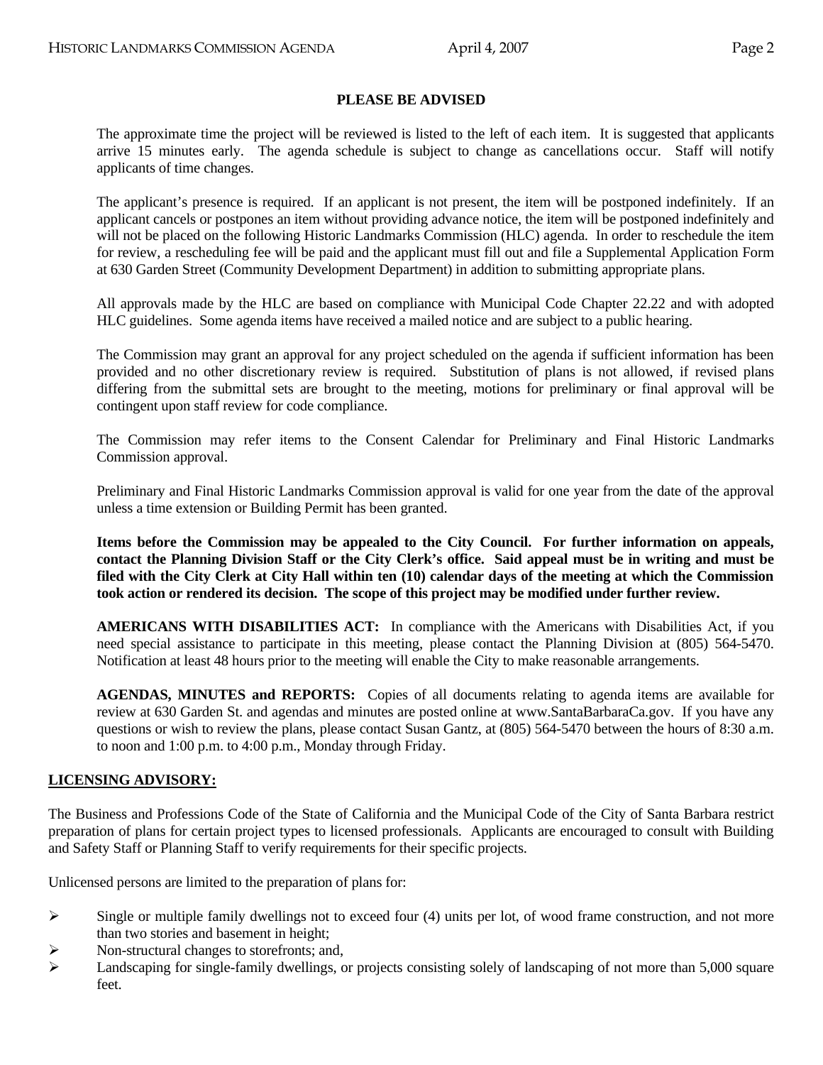#### **PLEASE BE ADVISED**

 The approximate time the project will be reviewed is listed to the left of each item. It is suggested that applicants arrive 15 minutes early. The agenda schedule is subject to change as cancellations occur. Staff will notify applicants of time changes.

 The applicant's presence is required. If an applicant is not present, the item will be postponed indefinitely. If an applicant cancels or postpones an item without providing advance notice, the item will be postponed indefinitely and will not be placed on the following Historic Landmarks Commission (HLC) agenda. In order to reschedule the item for review, a rescheduling fee will be paid and the applicant must fill out and file a Supplemental Application Form at 630 Garden Street (Community Development Department) in addition to submitting appropriate plans.

 All approvals made by the HLC are based on compliance with Municipal Code Chapter 22.22 and with adopted HLC guidelines. Some agenda items have received a mailed notice and are subject to a public hearing.

 The Commission may grant an approval for any project scheduled on the agenda if sufficient information has been provided and no other discretionary review is required. Substitution of plans is not allowed, if revised plans differing from the submittal sets are brought to the meeting, motions for preliminary or final approval will be contingent upon staff review for code compliance.

 The Commission may refer items to the Consent Calendar for Preliminary and Final Historic Landmarks Commission approval.

 Preliminary and Final Historic Landmarks Commission approval is valid for one year from the date of the approval unless a time extension or Building Permit has been granted.

**Items before the Commission may be appealed to the City Council. For further information on appeals, contact the Planning Division Staff or the City Clerk's office. Said appeal must be in writing and must be filed with the City Clerk at City Hall within ten (10) calendar days of the meeting at which the Commission took action or rendered its decision. The scope of this project may be modified under further review.** 

 **AMERICANS WITH DISABILITIES ACT:** In compliance with the Americans with Disabilities Act, if you need special assistance to participate in this meeting, please contact the Planning Division at (805) 564-5470. Notification at least 48 hours prior to the meeting will enable the City to make reasonable arrangements.

 **AGENDAS, MINUTES and REPORTS:** Copies of all documents relating to agenda items are available for review at 630 Garden St. and agendas and minutes are posted online at [www.SantaBarbaraCa.gov.](http://www.santabarbaraca.gov/) If you have any questions or wish to review the plans, please contact Susan Gantz, at (805) 564-5470 between the hours of 8:30 a.m. to noon and 1:00 p.m. to 4:00 p.m., Monday through Friday.

#### **LICENSING ADVISORY:**

The Business and Professions Code of the State of California and the Municipal Code of the City of Santa Barbara restrict preparation of plans for certain project types to licensed professionals. Applicants are encouraged to consult with Building and Safety Staff or Planning Staff to verify requirements for their specific projects.

Unlicensed persons are limited to the preparation of plans for:

- $\triangleright$  Single or multiple family dwellings not to exceed four (4) units per lot, of wood frame construction, and not more than two stories and basement in height;
- $\triangleright$  Non-structural changes to storefronts; and,
- $\blacktriangleright$  Landscaping for single-family dwellings, or projects consisting solely of landscaping of not more than 5,000 square feet.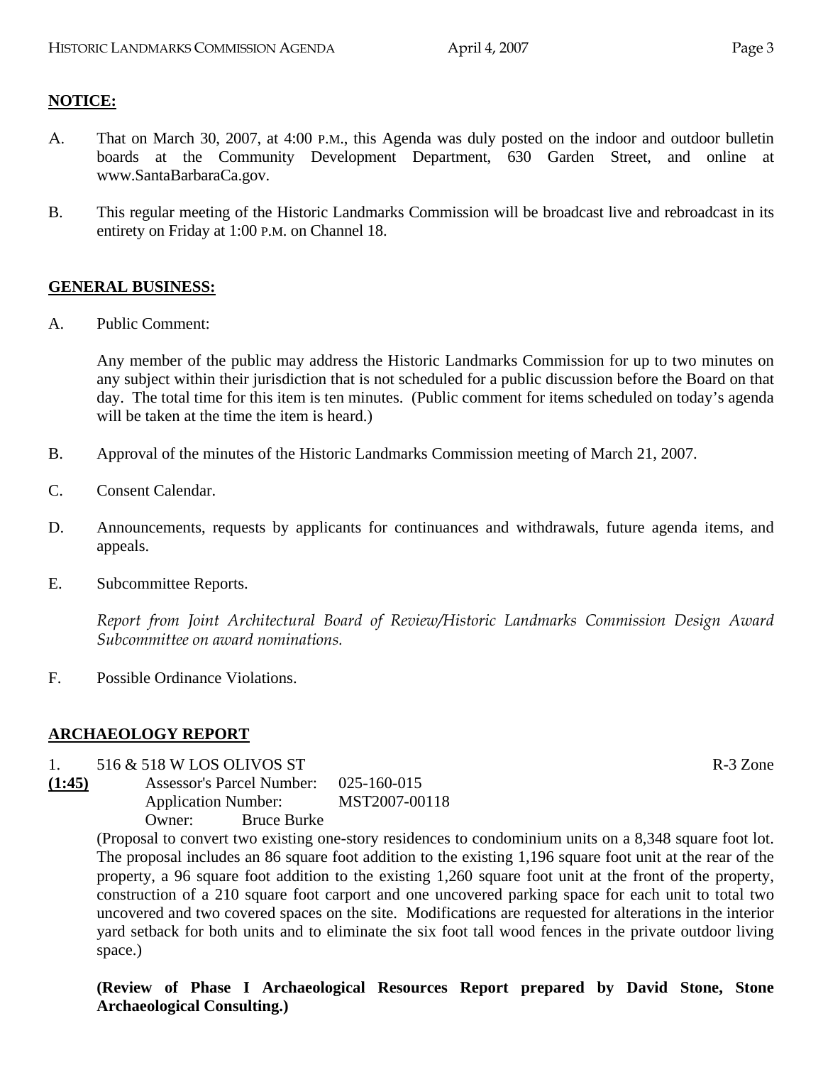## **NOTICE:**

- A. That on March 30, 2007, at 4:00 P.M., this Agenda was duly posted on the indoor and outdoor bulletin boards at the Community Development Department, 630 Garden Street, and online at www.SantaBarbaraCa.gov.
- B. This regular meeting of the Historic Landmarks Commission will be broadcast live and rebroadcast in its entirety on Friday at 1:00 P.M. on Channel 18.

#### **GENERAL BUSINESS:**

A. Public Comment:

Any member of the public may address the Historic Landmarks Commission for up to two minutes on any subject within their jurisdiction that is not scheduled for a public discussion before the Board on that day. The total time for this item is ten minutes. (Public comment for items scheduled on today's agenda will be taken at the time the item is heard.)

- B. Approval of the minutes of the Historic Landmarks Commission meeting of March 21, 2007.
- C. Consent Calendar.
- D. Announcements, requests by applicants for continuances and withdrawals, future agenda items, and appeals.
- E. Subcommittee Reports.

*Report from Joint Architectural Board of Review/Historic Landmarks Commission Design Award Subcommittee on award nominations.* 

F. Possible Ordinance Violations.

## **ARCHAEOLOGY REPORT**

- 1.  $516 \& 518 \text{ W LOS}$  OLIVOS ST R-3 Zone
- **(1:45)** Assessor's Parcel Number: 025-160-015 Application Number: MST2007-00118 Owner: Bruce Burke

(Proposal to convert two existing one-story residences to condominium units on a 8,348 square foot lot. The proposal includes an 86 square foot addition to the existing 1,196 square foot unit at the rear of the property, a 96 square foot addition to the existing 1,260 square foot unit at the front of the property, construction of a 210 square foot carport and one uncovered parking space for each unit to total two uncovered and two covered spaces on the site. Modifications are requested for alterations in the interior yard setback for both units and to eliminate the six foot tall wood fences in the private outdoor living space.)

**(Review of Phase I Archaeological Resources Report prepared by David Stone, Stone Archaeological Consulting.)**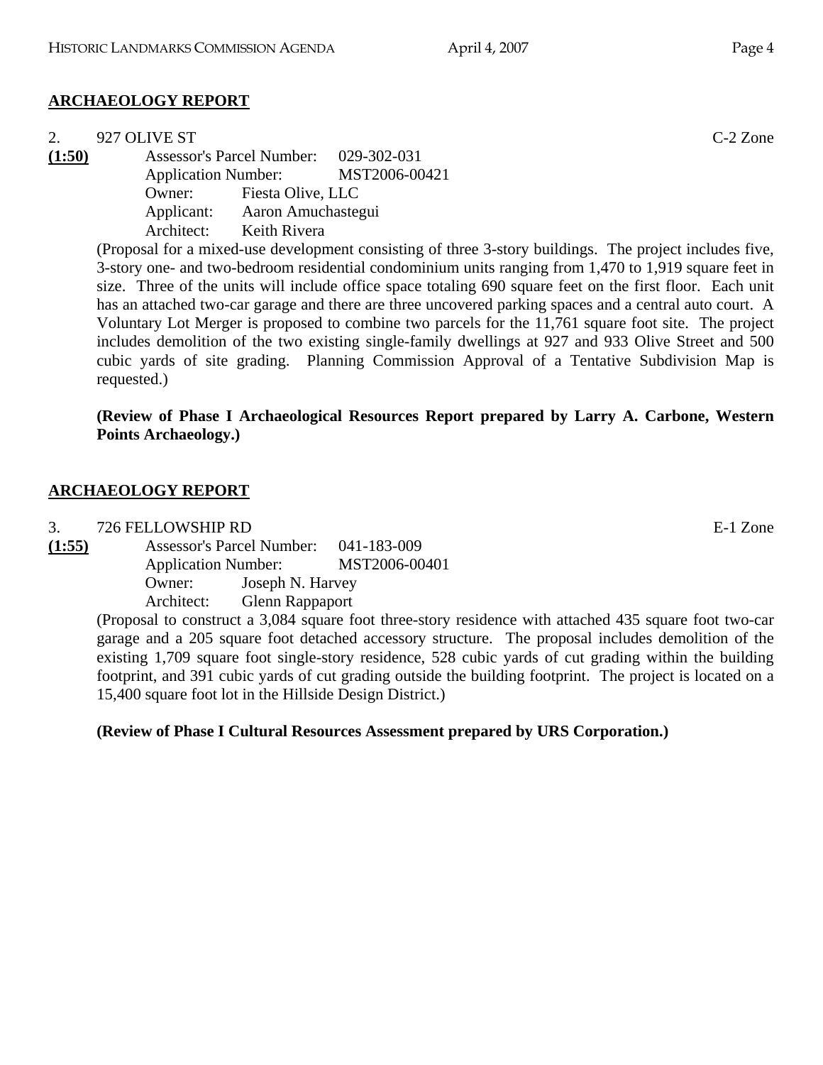# **ARCHAEOLOGY REPORT**

|        | 927 OLIVE ST             |                    |                                       | $C-2$ Zone |
|--------|--------------------------|--------------------|---------------------------------------|------------|
| (1:50) |                          |                    | Assessor's Parcel Number: 029-302-031 |            |
|        |                          |                    | Application Number: MST2006-00421     |            |
|        | Owner: Fiesta Olive, LLC |                    |                                       |            |
|        | Applicant:               | Aaron Amuchastegui |                                       |            |
|        | Architect:               | Keith Rivera       |                                       |            |
|        |                          |                    |                                       |            |

(Proposal for a mixed-use development consisting of three 3-story buildings. The project includes five, 3-story one- and two-bedroom residential condominium units ranging from 1,470 to 1,919 square feet in size. Three of the units will include office space totaling 690 square feet on the first floor. Each unit has an attached two-car garage and there are three uncovered parking spaces and a central auto court. A Voluntary Lot Merger is proposed to combine two parcels for the 11,761 square foot site. The project includes demolition of the two existing single-family dwellings at 927 and 933 Olive Street and 500 cubic yards of site grading. Planning Commission Approval of a Tentative Subdivision Map is requested.)

**(Review of Phase I Archaeological Resources Report prepared by Larry A. Carbone, Western Points Archaeology.)** 

#### **ARCHAEOLOGY REPORT**

3. 726 FELLOWSHIP RD

**(1:55)** Assessor's Parcel Number: 041-183-009 Application Number: MST2006-00401 Owner: Joseph N. Harvey Architect: Glenn Rappaport

(Proposal to construct a 3,084 square foot three-story residence with attached 435 square foot two-car garage and a 205 square foot detached accessory structure. The proposal includes demolition of the existing 1,709 square foot single-story residence, 528 cubic yards of cut grading within the building footprint, and 391 cubic yards of cut grading outside the building footprint. The project is located on a 15,400 square foot lot in the Hillside Design District.)

**(Review of Phase I Cultural Resources Assessment prepared by URS Corporation.)**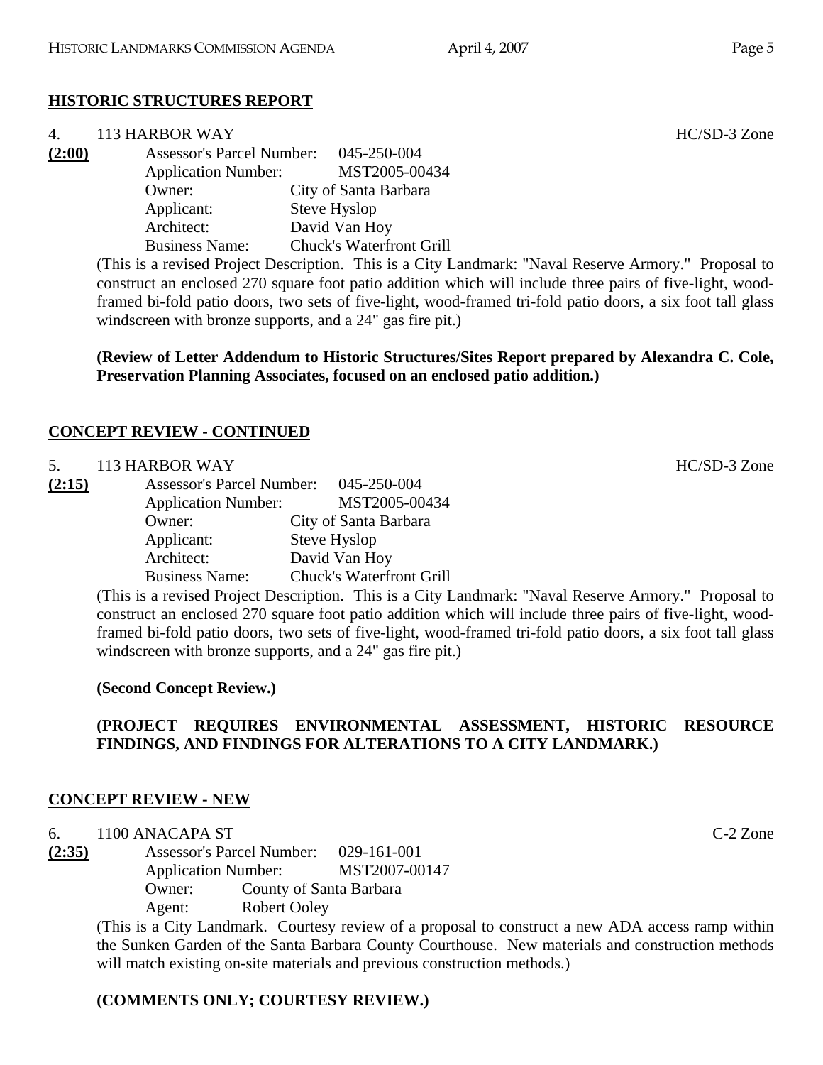# **HISTORIC STRUCTURES REPORT**

| 4.     | 113 HARBOR WAY                   |                                 |
|--------|----------------------------------|---------------------------------|
| (2:00) | <b>Assessor's Parcel Number:</b> | 045-250-004                     |
|        | <b>Application Number:</b>       | MST2005-00434                   |
|        | Owner:                           | City of Santa Barbara           |
|        | Applicant:                       | Steve Hyslop                    |
|        | Architect:                       | David Van Hoy                   |
|        | <b>Business Name:</b>            | <b>Chuck's Waterfront Grill</b> |
|        |                                  |                                 |

(This is a revised Project Description. This is a City Landmark: "Naval Reserve Armory." Proposal to construct an enclosed 270 square foot patio addition which will include three pairs of five-light, woodframed bi-fold patio doors, two sets of five-light, wood-framed tri-fold patio doors, a six foot tall glass windscreen with bronze supports, and a 24" gas fire pit.)

**(Review of Letter Addendum to Historic Structures/Sites Report prepared by Alexandra C. Cole, Preservation Planning Associates, focused on an enclosed patio addition.)** 

## **CONCEPT REVIEW - CONTINUED**

| 5. | <b>113 HARBOR WAY</b> |
|----|-----------------------|
|    |                       |

| (2:15) | <b>Assessor's Parcel Number:</b> | 045-250-004                     |
|--------|----------------------------------|---------------------------------|
|        | <b>Application Number:</b>       | MST2005-00434                   |
|        | Owner:                           | City of Santa Barbara           |
|        | Applicant:                       | Steve Hyslop                    |
|        | Architect:                       | David Van Hoy                   |
|        | <b>Business Name:</b>            | <b>Chuck's Waterfront Grill</b> |
|        |                                  |                                 |

(This is a revised Project Description. This is a City Landmark: "Naval Reserve Armory." Proposal to construct an enclosed 270 square foot patio addition which will include three pairs of five-light, woodframed bi-fold patio doors, two sets of five-light, wood-framed tri-fold patio doors, a six foot tall glass windscreen with bronze supports, and a 24" gas fire pit.)

## **(Second Concept Review.)**

# **(PROJECT REQUIRES ENVIRONMENTAL ASSESSMENT, HISTORIC RESOURCE FINDINGS, AND FINDINGS FOR ALTERATIONS TO A CITY LANDMARK.)**

## **CONCEPT REVIEW - NEW**

6. 1100 ANACAPA ST C-2 Zone

**(2:35)** Assessor's Parcel Number: 029-161-001 Application Number: MST2007-00147 Owner: County of Santa Barbara Agent: Robert Ooley

> (This is a City Landmark. Courtesy review of a proposal to construct a new ADA access ramp within the Sunken Garden of the Santa Barbara County Courthouse. New materials and construction methods will match existing on-site materials and previous construction methods.)

## **(COMMENTS ONLY; COURTESY REVIEW.)**

HC/SD-3 Zone

HC/SD-3 Zone

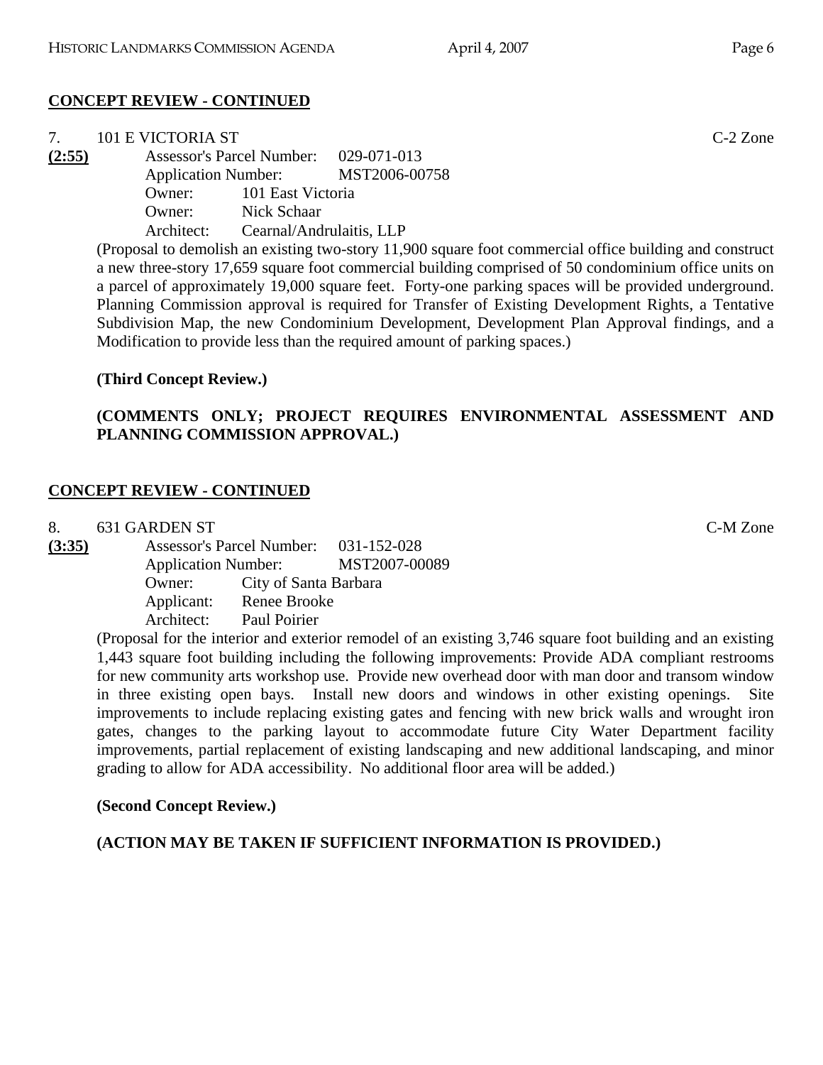# **CONCEPT REVIEW - CONTINUED**

| 7.     | 101 E VICTORIA ST |                          |                                                                                                           | $C-2$ Zone |
|--------|-------------------|--------------------------|-----------------------------------------------------------------------------------------------------------|------------|
| (2:55) |                   |                          | Assessor's Parcel Number: 029-071-013                                                                     |            |
|        |                   |                          | Application Number: MST2006-00758                                                                         |            |
|        |                   | Owner: 101 East Victoria |                                                                                                           |            |
|        | Owner:            | Nick Schaar              |                                                                                                           |            |
|        | Architect:        | Cearnal/Andrulaitis, LLP |                                                                                                           |            |
|        |                   |                          | $(Dronosol to domolish on aviotino two story 11,000 square foot commarciol offico building and construct$ |            |

(Proposal to demolish an existing two-story 11,900 square foot commercial office building and construct a new three-story 17,659 square foot commercial building comprised of 50 condominium office units on a parcel of approximately 19,000 square feet. Forty-one parking spaces will be provided underground. Planning Commission approval is required for Transfer of Existing Development Rights, a Tentative Subdivision Map, the new Condominium Development, Development Plan Approval findings, and a Modification to provide less than the required amount of parking spaces.)

#### **(Third Concept Review.)**

## **(COMMENTS ONLY; PROJECT REQUIRES ENVIRONMENTAL ASSESSMENT AND PLANNING COMMISSION APPROVAL.)**

#### **CONCEPT REVIEW - CONTINUED**

8. 631 GARDEN ST C-M Zone

| (3:35) |                            | <b>Assessor's Parcel Number:</b> | 031-152-028   |
|--------|----------------------------|----------------------------------|---------------|
|        | <b>Application Number:</b> |                                  | MST2007-00089 |
|        | Owner:                     | City of Santa Barbara            |               |
|        | Applicant:                 | Renee Brooke                     |               |
|        | Architect:                 | Paul Poirier                     |               |

(Proposal for the interior and exterior remodel of an existing 3,746 square foot building and an existing 1,443 square foot building including the following improvements: Provide ADA compliant restrooms for new community arts workshop use. Provide new overhead door with man door and transom window in three existing open bays. Install new doors and windows in other existing openings. Site improvements to include replacing existing gates and fencing with new brick walls and wrought iron gates, changes to the parking layout to accommodate future City Water Department facility improvements, partial replacement of existing landscaping and new additional landscaping, and minor grading to allow for ADA accessibility. No additional floor area will be added.)

#### **(Second Concept Review.)**

**(ACTION MAY BE TAKEN IF SUFFICIENT INFORMATION IS PROVIDED.)**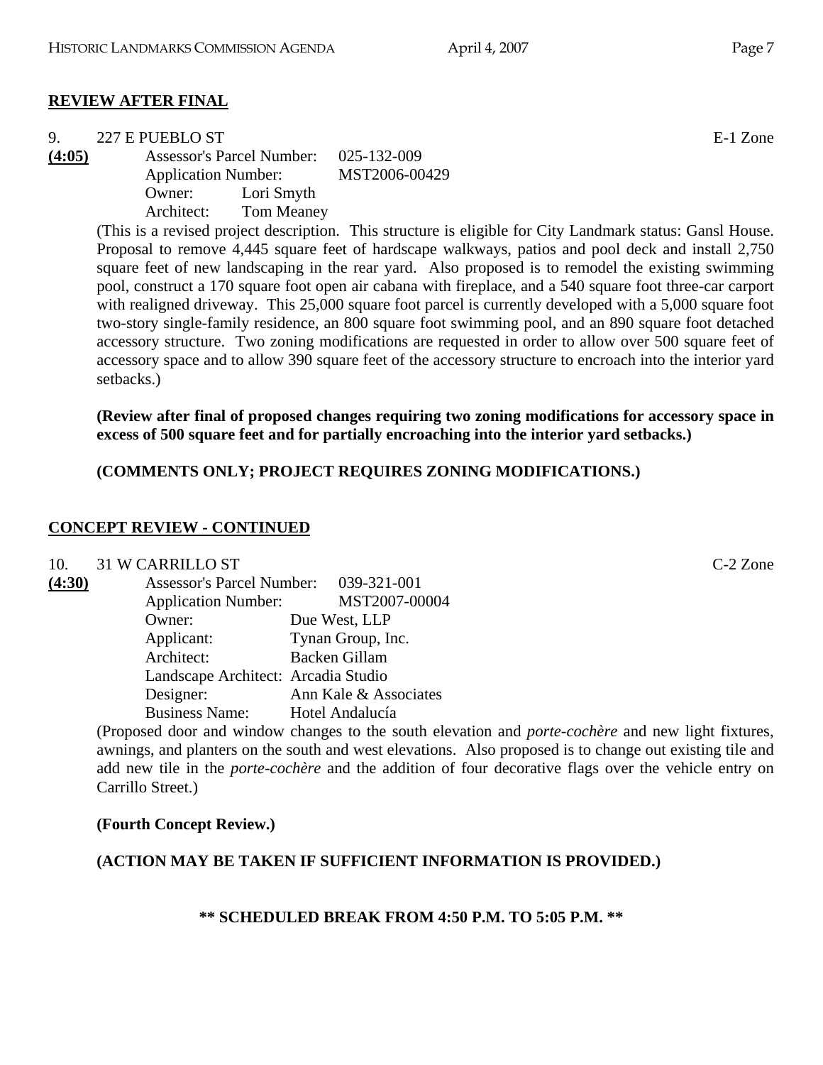#### **REVIEW AFTER FINAL**

| 227 E PUEBLO ST | Zone<br>$E-1$ |
|-----------------|---------------|
|                 |               |

**(4:05)** Assessor's Parcel Number: 025-132-009 Application Number: MST2006-00429 Owner: Lori Smyth Architect: Tom Meaney

> (This is a revised project description. This structure is eligible for City Landmark status: Gansl House. Proposal to remove 4,445 square feet of hardscape walkways, patios and pool deck and install 2,750 square feet of new landscaping in the rear yard. Also proposed is to remodel the existing swimming pool, construct a 170 square foot open air cabana with fireplace, and a 540 square foot three-car carport with realigned driveway. This 25,000 square foot parcel is currently developed with a 5,000 square foot two-story single-family residence, an 800 square foot swimming pool, and an 890 square foot detached accessory structure. Two zoning modifications are requested in order to allow over 500 square feet of accessory space and to allow 390 square feet of the accessory structure to encroach into the interior yard setbacks.)

> **(Review after final of proposed changes requiring two zoning modifications for accessory space in excess of 500 square feet and for partially encroaching into the interior yard setbacks.)**

**(COMMENTS ONLY; PROJECT REQUIRES ZONING MODIFICATIONS.)** 

#### **CONCEPT REVIEW - CONTINUED**

#### 10. 31 W CARRILLO ST C-2 Zone

| (4:30) | Assessor's Parcel Number: 039-321-001 |                       |
|--------|---------------------------------------|-----------------------|
|        | <b>Application Number:</b>            | MST2007-00004         |
|        | Owner:                                | Due West, LLP         |
|        | Applicant:                            | Tynan Group, Inc.     |
|        | Architect:                            | <b>Backen Gillam</b>  |
|        | Landscape Architect: Arcadia Studio   |                       |
|        | Designer:                             | Ann Kale & Associates |
|        | <b>Business Name:</b>                 | Hotel Andalucía       |

(Proposed door and window changes to the south elevation and *porte-cochère* and new light fixtures, awnings, and planters on the south and west elevations. Also proposed is to change out existing tile and add new tile in the *porte-cochère* and the addition of four decorative flags over the vehicle entry on Carrillo Street.)

#### **(Fourth Concept Review.)**

#### **(ACTION MAY BE TAKEN IF SUFFICIENT INFORMATION IS PROVIDED.)**

**\*\* SCHEDULED BREAK FROM 4:50 P.M. TO 5:05 P.M. \*\***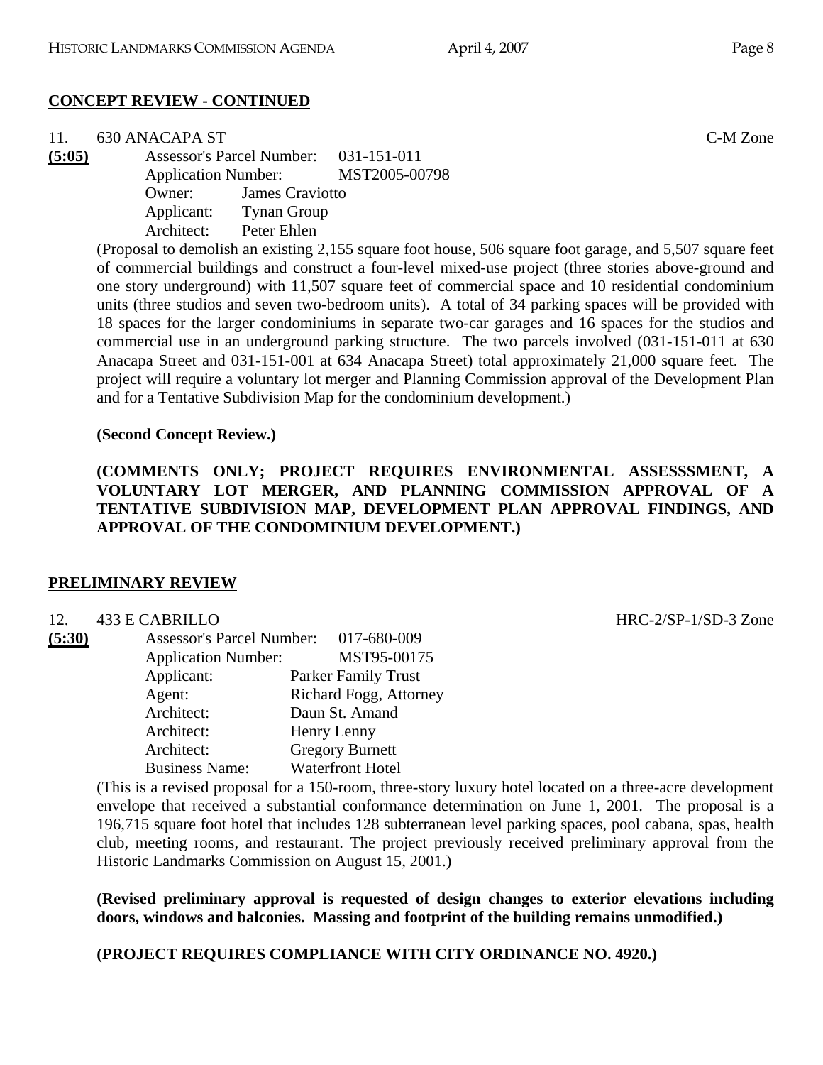## **CONCEPT REVIEW - CONTINUED**

| 11.    | 630 ANACAPA ST |                                       |                                   |                                                                                                              | C-M Zone |
|--------|----------------|---------------------------------------|-----------------------------------|--------------------------------------------------------------------------------------------------------------|----------|
| (5:05) |                | Assessor's Parcel Number: 031-151-011 |                                   |                                                                                                              |          |
|        |                |                                       | Application Number: MST2005-00798 |                                                                                                              |          |
|        | Owner:         | <b>James Craviotto</b>                |                                   |                                                                                                              |          |
|        |                | Applicant: Tynan Group                |                                   |                                                                                                              |          |
|        | Architect:     | Peter Ehlen                           |                                   |                                                                                                              |          |
|        |                |                                       |                                   | $(Dron)$ to demolish an evicting $2.155$ square feet house $506$ square feet gerege, and $5.507$ square feet |          |

(Proposal to demolish an existing 2,155 square foot house, 506 square foot garage, and 5,507 square feet of commercial buildings and construct a four-level mixed-use project (three stories above-ground and one story underground) with 11,507 square feet of commercial space and 10 residential condominium units (three studios and seven two-bedroom units). A total of 34 parking spaces will be provided with 18 spaces for the larger condominiums in separate two-car garages and 16 spaces for the studios and commercial use in an underground parking structure. The two parcels involved (031-151-011 at 630 Anacapa Street and 031-151-001 at 634 Anacapa Street) total approximately 21,000 square feet. The project will require a voluntary lot merger and Planning Commission approval of the Development Plan and for a Tentative Subdivision Map for the condominium development.)

#### **(Second Concept Review.)**

**(COMMENTS ONLY; PROJECT REQUIRES ENVIRONMENTAL ASSESSSMENT, A VOLUNTARY LOT MERGER, AND PLANNING COMMISSION APPROVAL OF A TENTATIVE SUBDIVISION MAP, DEVELOPMENT PLAN APPROVAL FINDINGS, AND APPROVAL OF THE CONDOMINIUM DEVELOPMENT.)** 

#### **PRELIMINARY REVIEW**

| 12.    | 433 E CABRILLO                   |                            |
|--------|----------------------------------|----------------------------|
| (5:30) | <b>Assessor's Parcel Number:</b> | 017-680-009                |
|        | <b>Application Number:</b>       | MST95-00175                |
|        | Applicant:                       | <b>Parker Family Trust</b> |
|        | Agent:                           | Richard Fogg, Attorney     |
|        | Architect:                       | Daun St. Amand             |
|        | Architect:                       | Henry Lenny                |
|        | Architect:                       | <b>Gregory Burnett</b>     |
|        | <b>Business Name:</b>            | <b>Waterfront Hotel</b>    |

(This is a revised proposal for a 150-room, three-story luxury hotel located on a three-acre development envelope that received a substantial conformance determination on June 1, 2001. The proposal is a 196,715 square foot hotel that includes 128 subterranean level parking spaces, pool cabana, spas, health club, meeting rooms, and restaurant. The project previously received preliminary approval from the Historic Landmarks Commission on August 15, 2001.)

**(Revised preliminary approval is requested of design changes to exterior elevations including doors, windows and balconies. Massing and footprint of the building remains unmodified.)** 

**(PROJECT REQUIRES COMPLIANCE WITH CITY ORDINANCE NO. 4920.)**